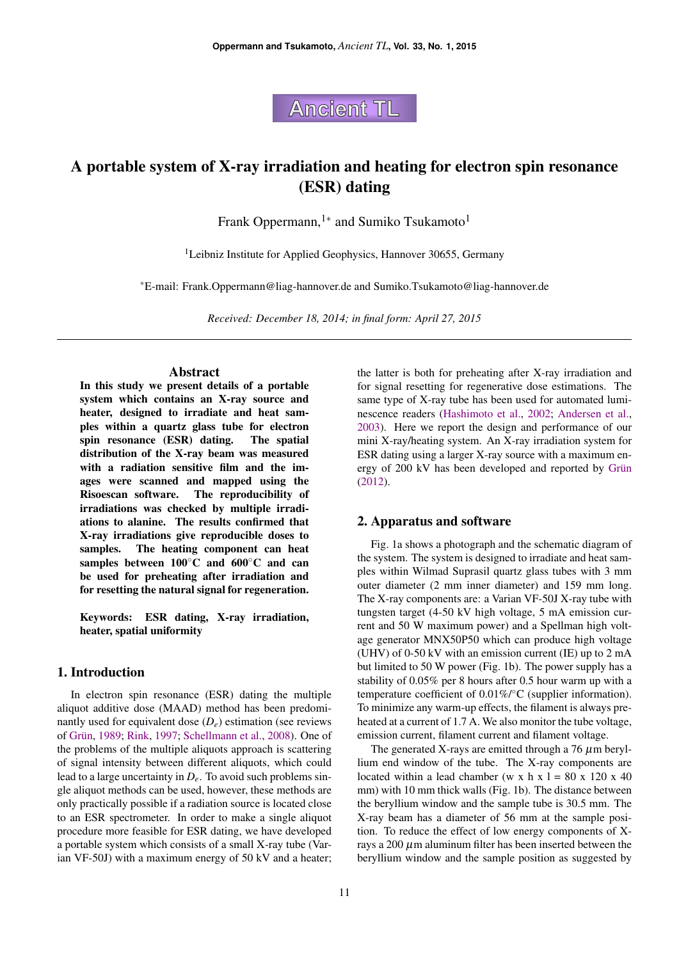**Ancient TL** 

# A portable system of X-ray irradiation and heating for electron spin resonance (ESR) dating

Frank Oppermann,<sup>1</sup><sup>∗</sup> and Sumiko Tsukamoto<sup>1</sup>

<sup>1</sup>Leibniz Institute for Applied Geophysics, Hannover 30655, Germany

<sup>∗</sup>E-mail: Frank.Oppermann@liag-hannover.de and Sumiko.Tsukamoto@liag-hannover.de

*Received: December 18, 2014; in final form: April 27, 2015*

### **Abstract**

In this study we present details of a portable system which contains an X-ray source and heater, designed to irradiate and heat samples within a quartz glass tube for electron spin resonance (ESR) dating. The spatial distribution of the X-ray beam was measured with a radiation sensitive film and the images were scanned and mapped using the Risoescan software. The reproducibility of irradiations was checked by multiple irradiations to alanine. The results confirmed that X-ray irradiations give reproducible doses to samples. The heating component can heat samples between 100◦C and 600◦C and can be used for preheating after irradiation and for resetting the natural signal for regeneration.

Keywords: ESR dating, X-ray irradiation, heater, spatial uniformity

## 1. Introduction

In electron spin resonance (ESR) dating the multiple aliquot additive dose (MAAD) method has been predominantly used for equivalent dose  $(D_e)$  estimation (see reviews of Grün, [1989;](#page-4-0) [Rink,](#page-4-1) [1997;](#page-4-1) [Schellmann et al.,](#page-4-2) [2008\)](#page-4-2). One of the problems of the multiple aliquots approach is scattering of signal intensity between different aliquots, which could lead to a large uncertainty in *De*. To avoid such problems single aliquot methods can be used, however, these methods are only practically possible if a radiation source is located close to an ESR spectrometer. In order to make a single aliquot procedure more feasible for ESR dating, we have developed a portable system which consists of a small X-ray tube (Varian VF-50J) with a maximum energy of 50 kV and a heater;

the latter is both for preheating after X-ray irradiation and for signal resetting for regenerative dose estimations. The same type of X-ray tube has been used for automated luminescence readers [\(Hashimoto et al.,](#page-4-3) [2002;](#page-4-3) [Andersen et al.,](#page-4-4) [2003\)](#page-4-4). Here we report the design and performance of our mini X-ray/heating system. An X-ray irradiation system for ESR dating using a larger X-ray source with a maximum energy of 200 kV has been developed and reported by Grün [\(2012\)](#page-4-5).

#### 2. Apparatus and software

Fig. [1a](#page-1-0) shows a photograph and the schematic diagram of the system. The system is designed to irradiate and heat samples within Wilmad Suprasil quartz glass tubes with 3 mm outer diameter (2 mm inner diameter) and 159 mm long. The X-ray components are: a Varian VF-50J X-ray tube with tungsten target (4-50 kV high voltage, 5 mA emission current and 50 W maximum power) and a Spellman high voltage generator MNX50P50 which can produce high voltage (UHV) of 0-50 kV with an emission current (IE) up to 2 mA but limited to 50 W power (Fig. [1b](#page-1-0)). The power supply has a stability of 0.05% per 8 hours after 0.5 hour warm up with a temperature coefficient of 0.01%/°C (supplier information). To minimize any warm-up effects, the filament is always preheated at a current of 1.7 A. We also monitor the tube voltage, emission current, filament current and filament voltage.

The generated X-rays are emitted through a  $76 \mu m$  beryllium end window of the tube. The X-ray components are located within a lead chamber (w x h x l = 80 x 120 x 40 mm) with 10 mm thick walls (Fig. [1b](#page-1-0)). The distance between the beryllium window and the sample tube is 30.5 mm. The X-ray beam has a diameter of 56 mm at the sample position. To reduce the effect of low energy components of Xrays a 200  $\mu$ m aluminum filter has been inserted between the beryllium window and the sample position as suggested by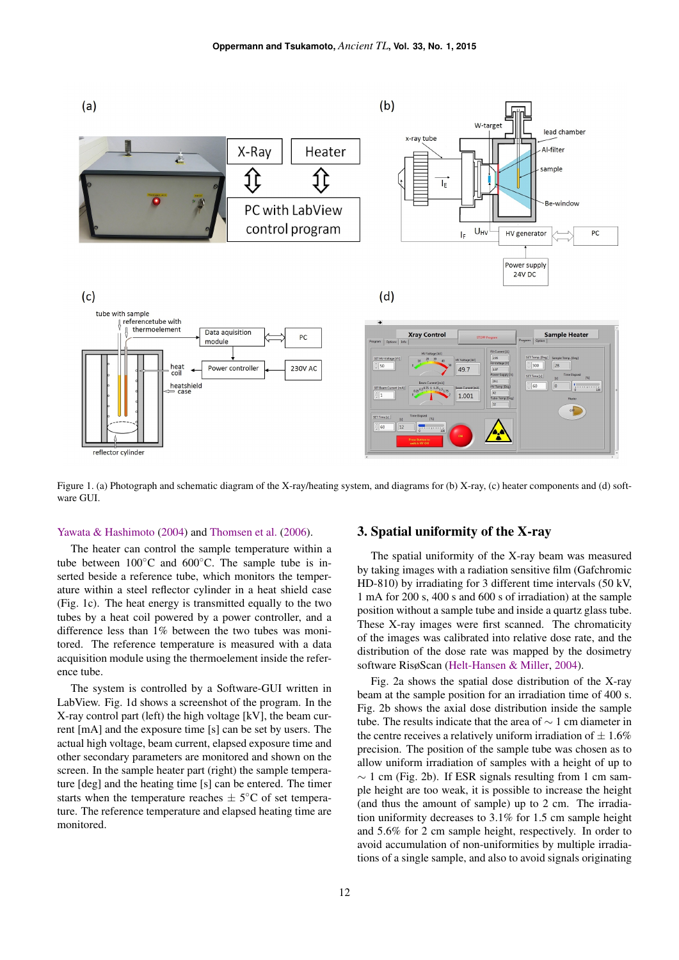

<span id="page-1-0"></span>Figure 1. (a) Photograph and schematic diagram of the X-ray/heating system, and diagrams for (b) X-ray, (c) heater components and (d) software GUI.

#### [Yawata & Hashimoto](#page-4-6) [\(2004\)](#page-4-6) and [Thomsen et al.](#page-4-7) [\(2006\)](#page-4-7).

The heater can control the sample temperature within a tube between  $100\degree$ C and  $600\degree$ C. The sample tube is inserted beside a reference tube, which monitors the temperature within a steel reflector cylinder in a heat shield case (Fig. [1c](#page-1-0)). The heat energy is transmitted equally to the two tubes by a heat coil powered by a power controller, and a difference less than 1% between the two tubes was monitored. The reference temperature is measured with a data acquisition module using the thermoelement inside the reference tube.

The system is controlled by a Software-GUI written in LabView. Fig. [1d](#page-1-0) shows a screenshot of the program. In the X-ray control part (left) the high voltage [kV], the beam current [mA] and the exposure time [s] can be set by users. The actual high voltage, beam current, elapsed exposure time and other secondary parameters are monitored and shown on the screen. In the sample heater part (right) the sample temperature [deg] and the heating time [s] can be entered. The timer starts when the temperature reaches  $\pm$  5°C of set temperature. The reference temperature and elapsed heating time are monitored.

## 3. Spatial uniformity of the X-ray

The spatial uniformity of the X-ray beam was measured by taking images with a radiation sensitive film (Gafchromic HD-810) by irradiating for 3 different time intervals (50 kV, 1 mA for 200 s, 400 s and 600 s of irradiation) at the sample position without a sample tube and inside a quartz glass tube. These X-ray images were first scanned. The chromaticity of the images was calibrated into relative dose rate, and the distribution of the dose rate was mapped by the dosimetry software RisøScan [\(Helt-Hansen & Miller,](#page-4-8) [2004\)](#page-4-8).

Fig. [2a](#page-2-0) shows the spatial dose distribution of the X-ray beam at the sample position for an irradiation time of 400 s. Fig. [2b](#page-2-0) shows the axial dose distribution inside the sample tube. The results indicate that the area of ∼ 1 cm diameter in the centre receives a relatively uniform irradiation of  $\pm 1.6\%$ precision. The position of the sample tube was chosen as to allow uniform irradiation of samples with a height of up to  $\sim$  1 cm (Fig. [2b](#page-2-0)). If ESR signals resulting from 1 cm sample height are too weak, it is possible to increase the height (and thus the amount of sample) up to 2 cm. The irradiation uniformity decreases to 3.1% for 1.5 cm sample height and 5.6% for 2 cm sample height, respectively. In order to avoid accumulation of non-uniformities by multiple irradiations of a single sample, and also to avoid signals originating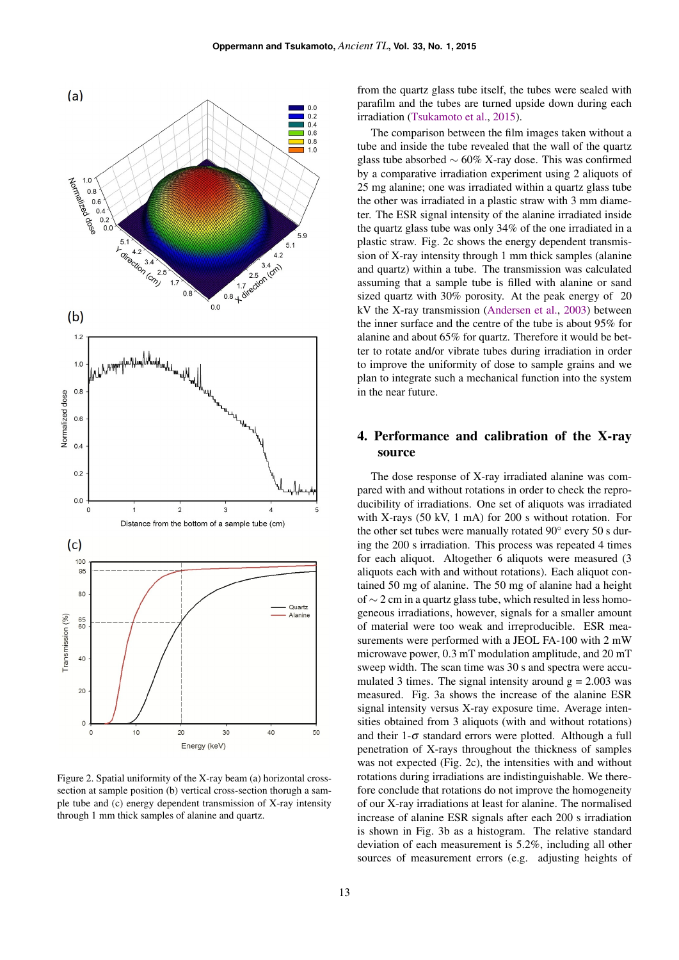

<span id="page-2-0"></span>Figure 2. Spatial uniformity of the X-ray beam (a) horizontal crosssection at sample position (b) vertical cross-section thorugh a sample tube and (c) energy dependent transmission of X-ray intensity through 1 mm thick samples of alanine and quartz.

from the quartz glass tube itself, the tubes were sealed with parafilm and the tubes are turned upside down during each irradiation [\(Tsukamoto et al.,](#page-4-9) [2015\)](#page-4-9).

The comparison between the film images taken without a tube and inside the tube revealed that the wall of the quartz glass tube absorbed ∼ 60% X-ray dose. This was confirmed by a comparative irradiation experiment using 2 aliquots of 25 mg alanine; one was irradiated within a quartz glass tube the other was irradiated in a plastic straw with 3 mm diameter. The ESR signal intensity of the alanine irradiated inside the quartz glass tube was only 34% of the one irradiated in a plastic straw. Fig. [2c](#page-2-0) shows the energy dependent transmission of X-ray intensity through 1 mm thick samples (alanine and quartz) within a tube. The transmission was calculated assuming that a sample tube is filled with alanine or sand sized quartz with 30% porosity. At the peak energy of 20 kV the X-ray transmission [\(Andersen et al.,](#page-4-4) [2003\)](#page-4-4) between the inner surface and the centre of the tube is about 95% for alanine and about 65% for quartz. Therefore it would be better to rotate and/or vibrate tubes during irradiation in order to improve the uniformity of dose to sample grains and we plan to integrate such a mechanical function into the system in the near future.

# 4. Performance and calibration of the X-ray source

The dose response of X-ray irradiated alanine was compared with and without rotations in order to check the reproducibility of irradiations. One set of aliquots was irradiated with X-rays (50 kV, 1 mA) for 200 s without rotation. For the other set tubes were manually rotated 90° every 50 s during the 200 s irradiation. This process was repeated 4 times for each aliquot. Altogether 6 aliquots were measured (3 aliquots each with and without rotations). Each aliquot contained 50 mg of alanine. The 50 mg of alanine had a height of ∼ 2 cm in a quartz glass tube, which resulted in less homogeneous irradiations, however, signals for a smaller amount of material were too weak and irreproducible. ESR measurements were performed with a JEOL FA-100 with 2 mW microwave power, 0.3 mT modulation amplitude, and 20 mT sweep width. The scan time was 30 s and spectra were accumulated 3 times. The signal intensity around  $g = 2.003$  was measured. Fig. [3a](#page-3-0) shows the increase of the alanine ESR signal intensity versus X-ray exposure time. Average intensities obtained from 3 aliquots (with and without rotations) and their  $1-\sigma$  standard errors were plotted. Although a full penetration of X-rays throughout the thickness of samples was not expected (Fig. [2c](#page-2-0)), the intensities with and without rotations during irradiations are indistinguishable. We therefore conclude that rotations do not improve the homogeneity of our X-ray irradiations at least for alanine. The normalised increase of alanine ESR signals after each 200 s irradiation is shown in Fig. [3b](#page-3-0) as a histogram. The relative standard deviation of each measurement is 5.2%, including all other sources of measurement errors (e.g. adjusting heights of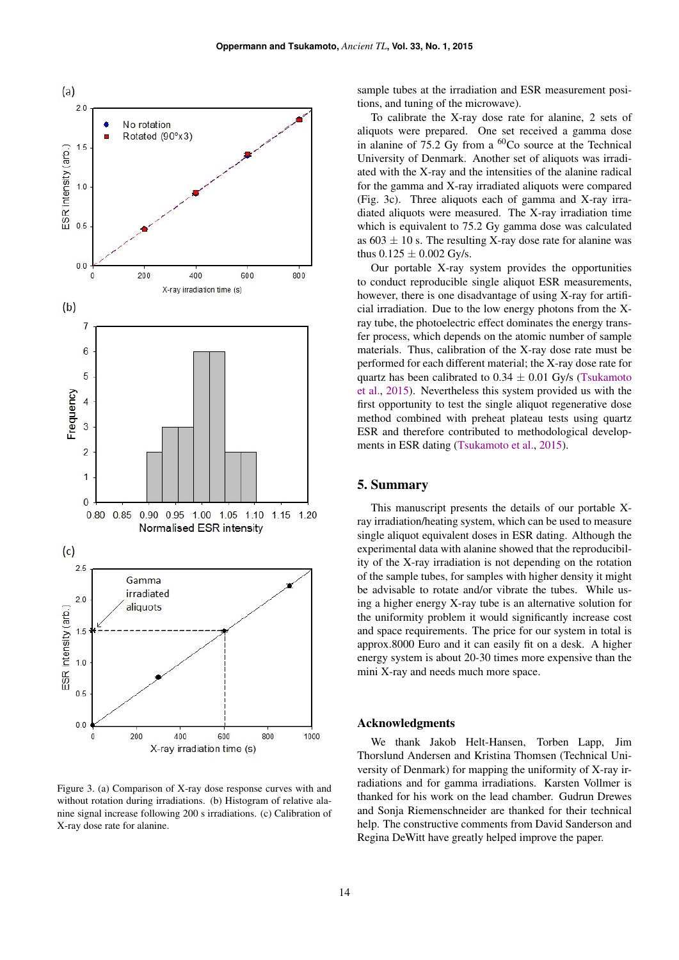

<span id="page-3-0"></span>Figure 3. (a) Comparison of X-ray dose response curves with and without rotation during irradiations. (b) Histogram of relative alanine signal increase following 200 s irradiations. (c) Calibration of X-ray dose rate for alanine.

sample tubes at the irradiation and ESR measurement positions, and tuning of the microwave).

To calibrate the X-ray dose rate for alanine, 2 sets of aliquots were prepared. One set received a gamma dose in alanine of 75.2 Gy from a  ${}^{60}Co$  source at the Technical University of Denmark. Another set of aliquots was irradiated with the X-ray and the intensities of the alanine radical for the gamma and X-ray irradiated aliquots were compared (Fig. [3c](#page-3-0)). Three aliquots each of gamma and X-ray irradiated aliquots were measured. The X-ray irradiation time which is equivalent to 75.2 Gy gamma dose was calculated as  $603 \pm 10$  s. The resulting X-ray dose rate for alanine was thus  $0.125 \pm 0.002$  Gy/s.

Our portable X-ray system provides the opportunities to conduct reproducible single aliquot ESR measurements, however, there is one disadvantage of using X-ray for artificial irradiation. Due to the low energy photons from the Xray tube, the photoelectric effect dominates the energy transfer process, which depends on the atomic number of sample materials. Thus, calibration of the X-ray dose rate must be performed for each different material; the X-ray dose rate for quartz has been calibrated to  $0.34 \pm 0.01$  Gy/s [\(Tsukamoto](#page-4-9) [et al.,](#page-4-9) [2015\)](#page-4-9). Nevertheless this system provided us with the first opportunity to test the single aliquot regenerative dose method combined with preheat plateau tests using quartz ESR and therefore contributed to methodological developments in ESR dating [\(Tsukamoto et al.,](#page-4-9) [2015\)](#page-4-9).

#### 5. Summary

This manuscript presents the details of our portable Xray irradiation/heating system, which can be used to measure single aliquot equivalent doses in ESR dating. Although the experimental data with alanine showed that the reproducibility of the X-ray irradiation is not depending on the rotation of the sample tubes, for samples with higher density it might be advisable to rotate and/or vibrate the tubes. While using a higher energy X-ray tube is an alternative solution for the uniformity problem it would significantly increase cost and space requirements. The price for our system in total is approx.8000 Euro and it can easily fit on a desk. A higher energy system is about 20-30 times more expensive than the mini X-ray and needs much more space.

#### Acknowledgments

We thank Jakob Helt-Hansen, Torben Lapp, Jim Thorslund Andersen and Kristina Thomsen (Technical University of Denmark) for mapping the uniformity of X-ray irradiations and for gamma irradiations. Karsten Vollmer is thanked for his work on the lead chamber. Gudrun Drewes and Sonja Riemenschneider are thanked for their technical help. The constructive comments from David Sanderson and Regina DeWitt have greatly helped improve the paper.